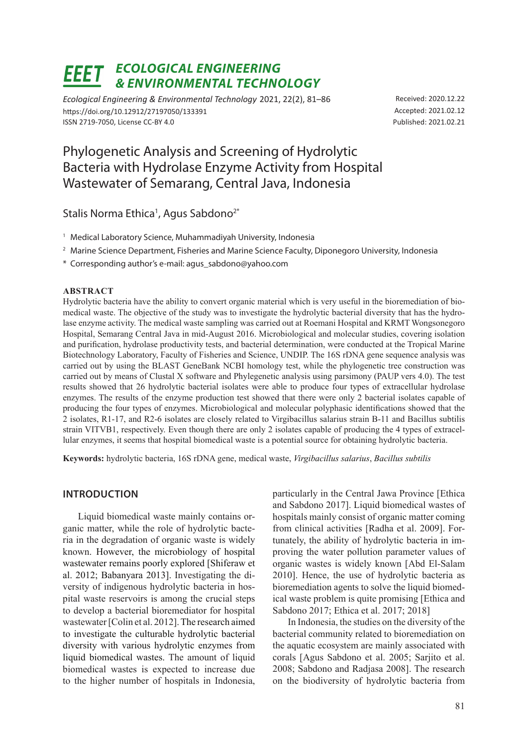#### *Ecological Engineering*  EEET *& Environmental Technology*

*Ecological Engineering & Environmental Technology* 2021, 22(2), 81–86 https://doi.org/10.12912/27197050/133391 ISSN 2719-7050, License CC-BY 4.0

Received: 2020.12.22 Accepted: 2021.02.12 Published: 2021.02.21

# Phylogenetic Analysis and Screening of Hydrolytic Bacteria with Hydrolase Enzyme Activity from Hospital Wastewater of Semarang, Central Java, Indonesia

Stalis Norma Ethica<sup>1</sup>, Agus Sabdono<sup>2\*</sup>

- <sup>1</sup> Medical Laboratory Science, Muhammadiyah University, Indonesia
- <sup>2</sup> Marine Science Department, Fisheries and Marine Science Faculty, Diponegoro University, Indonesia
- \* Corresponding author's e-mail: agus\_sabdono@yahoo.com

#### **Abstract**

Hydrolytic bacteria have the ability to convert organic material which is very useful in the bioremediation of biomedical waste. The objective of the study was to investigate the hydrolytic bacterial diversity that has the hydrolase enzyme activity. The medical waste sampling was carried out at Roemani Hospital and KRMT Wongsonegoro Hospital, Semarang Central Java in mid-August 2016. Microbiological and molecular studies, covering isolation and purification, hydrolase productivity tests, and bacterial determination, were conducted at the Tropical Marine Biotechnology Laboratory, Faculty of Fisheries and Science, UNDIP. The 16S rDNA gene sequence analysis was carried out by using the BLAST GeneBank NCBI homology test, while the phylogenetic tree construction was carried out by means of Clustal X software and Phylegenetic analysis using parsimony (PAUP vers 4.0). The test results showed that 26 hydrolytic bacterial isolates were able to produce four types of extracellular hydrolase enzymes. The results of the enzyme production test showed that there were only 2 bacterial isolates capable of producing the four types of enzymes. Microbiological and molecular polyphasic identifications showed that the 2 isolates, R1-17, and R2-6 isolates are closely related to Virgibacillus salarius strain B-11 and Bacillus subtilis strain VITVB1, respectively. Even though there are only 2 isolates capable of producing the 4 types of extracellular enzymes, it seems that hospital biomedical waste is a potential source for obtaining hydrolytic bacteria.

**Keywords:** hydrolytic bacteria, 16S rDNA gene, medical waste, *Virgibacillus salarius*, *Bacillus subtilis*

# **Introduction**

Liquid biomedical waste mainly contains organic matter, while the role of hydrolytic bacteria in the degradation of organic waste is widely known. However, the microbiology of hospital wastewater remains poorly explored [Shiferaw et al. 2012; Babanyara 2013]. Investigating the diversity of indigenous hydrolytic bacteria in hospital waste reservoirs is among the crucial steps to develop a bacterial bioremediator for hospital wastewater [Colin et al. 2012]. The research aimed to investigate the culturable hydrolytic bacterial diversity with various hydrolytic enzymes from liquid biomedical wastes. The amount of liquid biomedical wastes is expected to increase due to the higher number of hospitals in Indonesia, particularly in the Central Jawa Province [Ethica and Sabdono 2017]. Liquid biomedical wastes of hospitals mainly consist of organic matter coming from clinical activities [Radha et al. 2009]. Fortunately, the ability of hydrolytic bacteria in improving the water pollution parameter values of organic wastes is widely known [Abd El-Salam 2010]. Hence, the use of hydrolytic bacteria as bioremediation agents to solve the liquid biomedical waste problem is quite promising [Ethica and Sabdono 2017; Ethica et al. 2017; 2018]

In Indonesia, the studies on the diversity of the bacterial community related to bioremediation on the aquatic ecosystem are mainly associated with corals [Agus Sabdono et al. 2005; Sarjito et al. 2008; Sabdono and Radjasa 2008]. The research on the biodiversity of hydrolytic bacteria from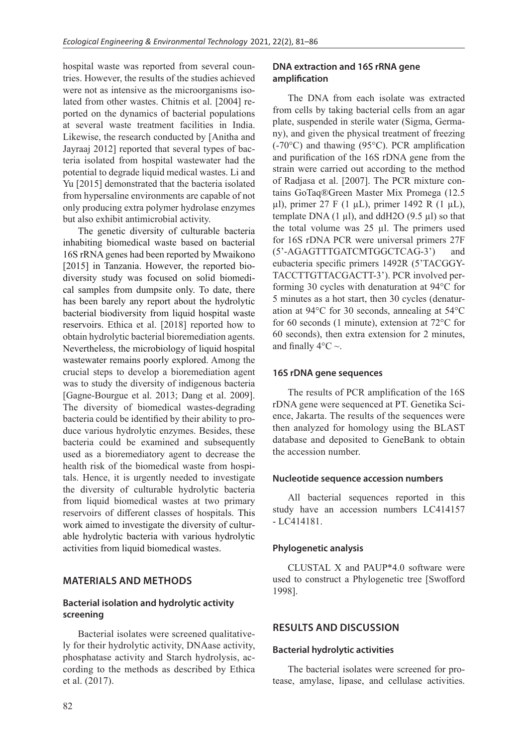hospital waste was reported from several countries. However, the results of the studies achieved were not as intensive as the microorganisms isolated from other wastes. Chitnis et al. [2004] reported on the dynamics of bacterial populations at several waste treatment facilities in India. Likewise, the research conducted by [Anitha and Jayraaj 2012] reported that several types of bacteria isolated from hospital wastewater had the potential to degrade liquid medical wastes. Li and Yu [2015] demonstrated that the bacteria isolated from hypersaline environments are capable of not only producing extra polymer hydrolase enzymes but also exhibit antimicrobial activity.

The genetic diversity of culturable bacteria inhabiting biomedical waste based on bacterial 16S rRNA genes had been reported by Mwaikono [2015] in Tanzania. However, the reported biodiversity study was focused on solid biomedical samples from dumpsite only. To date, there has been barely any report about the hydrolytic bacterial biodiversity from liquid hospital waste reservoirs. Ethica et al. [2018] reported how to obtain hydrolytic bacterial bioremediation agents. Nevertheless, the microbiology of liquid hospital wastewater remains poorly explored. Among the crucial steps to develop a bioremediation agent was to study the diversity of indigenous bacteria [Gagne-Bourgue et al. 2013; Dang et al. 2009]. The diversity of biomedical wastes-degrading bacteria could be identified by their ability to produce various hydrolytic enzymes. Besides, these bacteria could be examined and subsequently used as a bioremediatory agent to decrease the health risk of the biomedical waste from hospitals. Hence, it is urgently needed to investigate the diversity of culturable hydrolytic bacteria from liquid biomedical wastes at two primary reservoirs of different classes of hospitals. This work aimed to investigate the diversity of culturable hydrolytic bacteria with various hydrolytic activities from liquid biomedical wastes.

# **Materials and Methods**

# **Bacterial isolation and hydrolytic activity screening**

Bacterial isolates were screened qualitatively for their hydrolytic activity, DNAase activity, phosphatase activity and Starch hydrolysis, according to the methods as described by Ethica et al. (2017).

### **DNA extraction and 16S rRNA gene amplification**

The DNA from each isolate was extracted from cells by taking bacterial cells from an agar plate, suspended in sterile water (Sigma, Germany), and given the physical treatment of freezing (-70°C) and thawing (95°C). PCR amplification and purification of the 16S rDNA gene from the strain were carried out according to the method of Radjasa et al. [2007]. The PCR mixture contains GoTaq®Green Master Mix Promega (12.5 µl), primer 27 F (1 µL), primer 1492 R (1 µL), template DNA  $(1 \mu l)$ , and ddH2O  $(9.5 \mu l)$  so that the total volume was 25 µl. The primers used for 16S rDNA PCR were universal primers 27F (5'-AGAGTTTGATCMTGGCTCAG-3') and eubacteria specific primers 1492R (5'TACGGY-TACCTTGTTACGACTT-3'). PCR involved performing 30 cycles with denaturation at 94°C for 5 minutes as a hot start, then 30 cycles (denaturation at 94°C for 30 seconds, annealing at 54°C for 60 seconds (1 minute), extension at 72°C for 60 seconds), then extra extension for 2 minutes, and finally  $4^{\circ}$ C ~.

#### **16S rDNA gene sequences**

The results of PCR amplification of the 16S rDNA gene were sequenced at PT. Genetika Science, Jakarta. The results of the sequences were then analyzed for homology using the BLAST database and deposited to GeneBank to obtain the accession number.

#### **Nucleotide sequence accession numbers**

All bacterial sequences reported in this study have an accession numbers LC414157 - LC414181.

# **Phylogenetic analysis**

CLUSTAL X and PAUP\*4.0 software were used to construct a Phylogenetic tree [Swofford 1998].

# **Results and Discussion**

#### **Bacterial hydrolytic activities**

The bacterial isolates were screened for protease, amylase, lipase, and cellulase activities.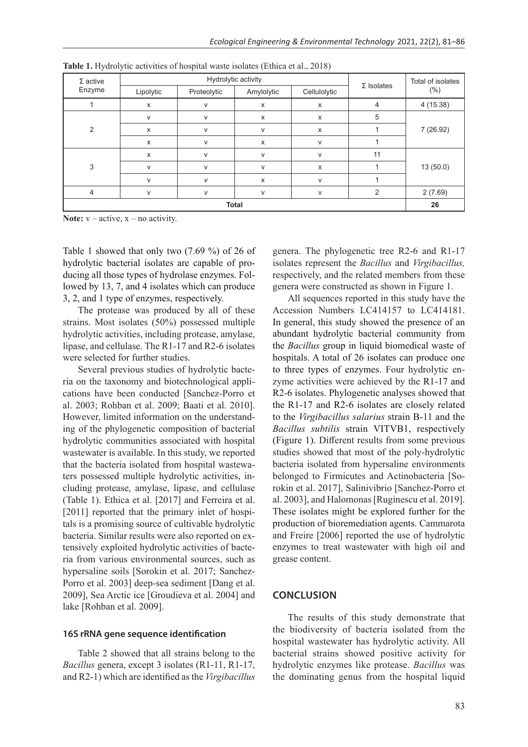| $\Sigma$ active<br>Enzyme | Hydrolytic activity |             |            |              | $\Sigma$ Isolates | Total of isolates |  |
|---------------------------|---------------------|-------------|------------|--------------|-------------------|-------------------|--|
|                           | Lipolytic           | Proteolytic | Amylolytic | Cellulolytic |                   | (%)               |  |
|                           | X                   | $\vee$      | X          | X            | 4                 | 4(15.38)          |  |
| $\overline{2}$            | v                   | $\vee$      | x          | X            | 5                 | 7 (26.92)         |  |
|                           | $\mathsf{x}$        | V           | v          | X            |                   |                   |  |
|                           | X                   | $\vee$      | X          | $\mathsf{V}$ |                   |                   |  |
| 3                         | x                   | $\vee$      | v          | V            | 11                | 13(50.0)          |  |
|                           | v                   | $\vee$      | v          | X            |                   |                   |  |
|                           | v                   | V           | X          | $\mathsf{V}$ |                   |                   |  |
| $\overline{4}$            | V                   | $\vee$      | V          | V            | $\overline{2}$    | 2(7.69)           |  |
| <b>Total</b>              |                     |             |            |              |                   |                   |  |

**Table 1.** Hydrolytic activities of hospital waste isolates (Ethica et al., 2018)

**Note:**  $v - \text{active}, x - \text{no activity}.$ 

Table 1 showed that only two (7.69 %) of 26 of hydrolytic bacterial isolates are capable of producing all those types of hydrolase enzymes. Followed by 13, 7, and 4 isolates which can produce 3, 2, and 1 type of enzymes, respectively.

The protease was produced by all of these strains. Most isolates (50%) possessed multiple hydrolytic activities, including protease, amylase, lipase, and cellulase. The R1-17 and R2-6 isolates were selected for further studies.

Several previous studies of hydrolytic bacteria on the taxonomy and biotechnological applications have been conducted [Sanchez-Porro et al. 2003; Rohban et al. 2009; Baati et al. 2010]. However, limited information on the understanding of the phylogenetic composition of bacterial hydrolytic communities associated with hospital wastewater is available. In this study, we reported that the bacteria isolated from hospital wastewaters possessed multiple hydrolytic activities, including protease, amylase, lipase, and cellulase (Table 1). Ethica et al. [2017] and Ferreira et al. [2011] reported that the primary inlet of hospitals is a promising source of cultivable hydrolytic bacteria. Similar results were also reported on extensively exploited hydrolytic activities of bacteria from various environmental sources, such as hypersaline soils [Sorokin et al. 2017; Sanchez-Porro et al. 2003] deep-sea sediment [Dang et al. 2009], Sea Arctic ice [Groudieva et al. 2004] and lake [Rohban et al. 2009].

#### **16S rRNA gene sequence identification**

Table 2 showed that all strains belong to the *Bacillus* genera, except 3 isolates (R1-11, R1-17, and R2-1) which are identified as the *Virgibacillus*  genera. The phylogenetic tree R2-6 and R1-17 isolates represent the *Bacillus* and *Virgibacillus,*  respectively, and the related members from these genera were constructed as shown in Figure 1.

All sequences reported in this study have the Accession Numbers LC414157 to LC414181. In general, this study showed the presence of an abundant hydrolytic bacterial community from the *Bacillus* group in liquid biomedical waste of hospitals. A total of 26 isolates can produce one to three types of enzymes. Four hydrolytic enzyme activities were achieved by the R1-17 and R2-6 isolates. Phylogenetic analyses showed that the R1-17 and R2-6 isolates are closely related to the *Virgibacillus salarius* strain B-11 and the *Bacillus subtilis* strain VITVB1, respectively (Figure 1). Different results from some previous studies showed that most of the poly-hydrolytic bacteria isolated from hypersaline environments belonged to Firmicutes and Actinobacteria [Sorokin et al. 2017], Salinivibrio [Sanchez-Porro et al. 2003], and Halomonas [Ruginescu et al. 2019]. These isolates might be explored further for the production of bioremediation agents. Cammarota and Freire [2006] reported the use of hydrolytic enzymes to treat wastewater with high oil and grease content.

#### **Conclusion**

The results of this study demonstrate that the biodiversity of bacteria isolated from the hospital wastewater has hydrolytic activity. All bacterial strains showed positive activity for hydrolytic enzymes like protease. *Bacillus* was the dominating genus from the hospital liquid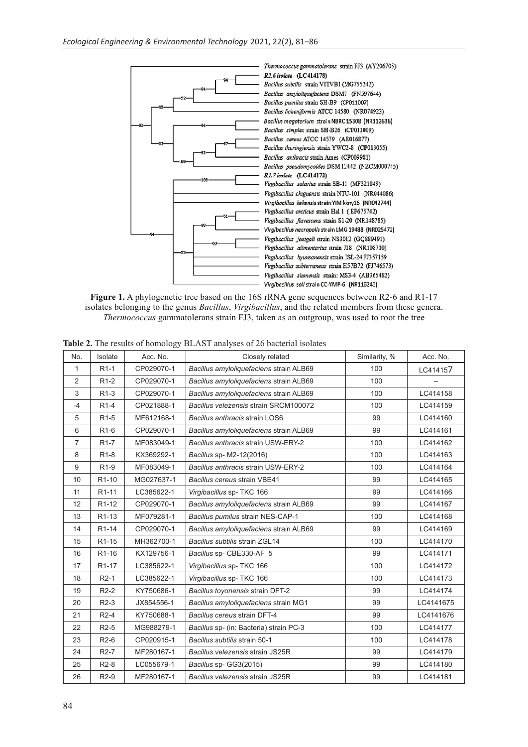

**Figure 1.** A phylogenetic tree based on the 16S rRNA gene sequences between R2-6 and R1-17 isolates belonging to the genus *Bacillus*, *Virgibacillus*, and the related members from these genera. *Thermococcus* gammatolerans strain FJ3, taken as an outgroup, was used to root the tree

| No.            | Isolate            | Acc. No.   | Closely related                         | Similarity, % | Acc. No.  |
|----------------|--------------------|------------|-----------------------------------------|---------------|-----------|
| 1              | $R1-1$             | CP029070-1 | Bacillus amyloliquefaciens strain ALB69 | 100           | LC414157  |
| 2              | R <sub>1</sub> -2  | CP029070-1 | Bacillus amyloliquefaciens strain ALB69 | 100           |           |
| 3              | R <sub>1</sub> -3  | CP029070-1 | Bacillus amyloliquefaciens strain ALB69 | 100           | LC414158  |
| $-4$           | R <sub>1-4</sub>   | CP021888-1 | Bacillus velezensis strain SRCM100072   | 100           | LC414159  |
| 5              | R <sub>1-5</sub>   | MF612168-1 | Bacillus anthracis strain LOS6          | 99            | LC414160  |
| 6              | R <sub>1-6</sub>   | CP029070-1 | Bacillus amyloliquefaciens strain ALB69 | 99            | LC414161  |
| $\overline{7}$ | R <sub>1-7</sub>   | MF083049-1 | Bacillus anthracis strain USW-ERY-2     | 100           | LC414162  |
| 8              | R <sub>1-8</sub>   | KX369292-1 | Bacillus sp- M2-12(2016)                | 100           | LC414163  |
| 9              | R <sub>1-9</sub>   | MF083049-1 | Bacillus anthracis strain USW-ERY-2     | 100           | LC414164  |
| 10             | R <sub>1</sub> -10 | MG027637-1 | Bacillus cereus strain VBE41            | 99            | LC414165  |
| 11             | R <sub>1</sub> -11 | LC385622-1 | Virgibacillus sp- TKC 166               | 99            | LC414166  |
| 12             | R <sub>1</sub> -12 | CP029070-1 | Bacillus amyloliquefaciens strain ALB69 | 99            | LC414167  |
| 13             | R <sub>1</sub> -13 | MF079281-1 | Bacillus pumilus strain NES-CAP-1       | 100           | LC414168  |
| 14             | R <sub>1</sub> -14 | CP029070-1 | Bacillus amyloliquefaciens strain ALB69 | 99            | LC414169  |
| 15             | R <sub>1</sub> -15 | MH362700-1 | Bacillus subtilis strain ZGL14          | 100           | LC414170  |
| 16             | R1-16              | KX129756-1 | Bacillus sp- CBE330-AF 5                | 99            | LC414171  |
| 17             | R <sub>1</sub> -17 | LC385622-1 | Virgibacillus sp- TKC 166               | 100           | LC414172  |
| 18             | $R2-1$             | LC385622-1 | Virgibacillus sp- TKC 166               | 100           | LC414173  |
| 19             | $R2-2$             | KY750686-1 | Bacillus toyonensis strain DFT-2        | 99            | LC414174  |
| 20             | $R2-3$             | JX854556-1 | Bacillus amyloliquefaciens strain MG1   | 99            | LC4141675 |
| 21             | $R2-4$             | KY750688-1 | Bacillus cereus strain DFT-4            | 99            | LC4141676 |
| 22             | R <sub>2</sub> -5  | MG988279-1 | Bacillus sp- (in: Bacteria) strain PC-3 | 100           | LC414177  |
| 23             | $R2-6$             | CP020915-1 | Bacillus subtilis strain 50-1           | 100           | LC414178  |
| 24             | R <sub>2</sub> -7  | MF280167-1 | Bacillus velezensis strain JS25R        | 99            | LC414179  |
| 25             | R <sub>2</sub> -8  | LC055679-1 | Bacillus sp- GG3(2015)                  | 99            | LC414180  |
| 26             | R2-9               | MF280167-1 | Bacillus velezensis strain JS25R        | 99            | LC414181  |

**Table 2.** The results of homology BLAST analyses of 26 bacterial isolates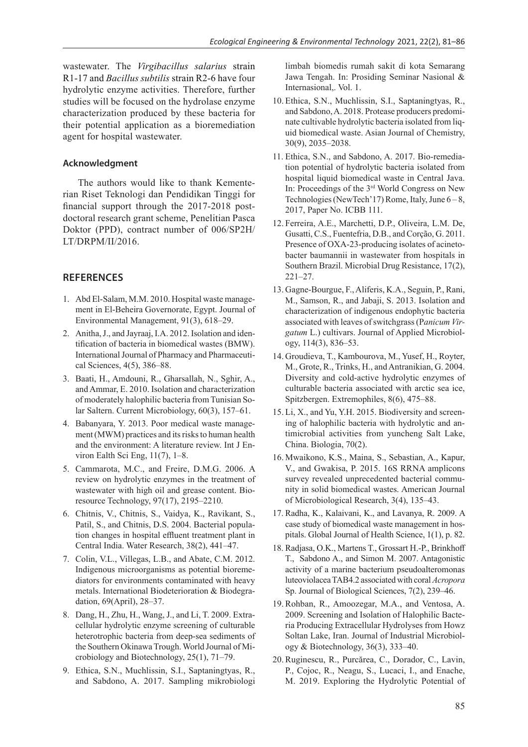wastewater. The *Virgibacillus salarius* strain R1-17 and *Bacillus subtilis* strain R2-6 have four hydrolytic enzyme activities. Therefore, further studies will be focused on the hydrolase enzyme characterization produced by these bacteria for their potential application as a bioremediation agent for hospital wastewater.

#### **Acknowledgment**

The authors would like to thank Kementerian Riset Teknologi dan Pendidikan Tinggi for financial support through the 2017-2018 postdoctoral research grant scheme, Penelitian Pasca Doktor (PPD), contract number of 006/SP2H/ LT/DRPM/II/2016.

#### **References**

- 1. Abd El-Salam, M.M. 2010. Hospital waste management in El-Beheira Governorate, Egypt. Journal of Environmental Management, 91(3), 618–29.
- 2. Anitha, J., and Jayraaj, I.A. 2012. Isolation and identification of bacteria in biomedical wastes (BMW). International Journal of Pharmacy and Pharmaceutical Sciences, 4(5), 386–88.
- 3. Baati, H., Amdouni, R., Gharsallah, N., Sghir, A., and Ammar, E. 2010. Isolation and characterization of moderately halophilic bacteria from Tunisian Solar Saltern. Current Microbiology, 60(3), 157–61.
- 4. Babanyara, Y. 2013. Poor medical waste management (MWM) practices and its risks to human health and the environment: A literature review. Int J Environ Ealth Sci Eng, 11(7), 1–8.
- 5. Cammarota, M.C., and Freire, D.M.G. 2006. A review on hydrolytic enzymes in the treatment of wastewater with high oil and grease content. Bioresource Technology, 97(17), 2195–2210.
- 6. Chitnis, V., Chitnis, S., Vaidya, K., Ravikant, S., Patil, S., and Chitnis, D.S. 2004. Bacterial population changes in hospital effluent treatment plant in Central India. Water Research, 38(2), 441–47.
- 7. Colin, V.L., Villegas, L.B., and Abate, C.M. 2012. Indigenous microorganisms as potential bioremediators for environments contaminated with heavy metals. International Biodeterioration & Biodegradation, 69(April), 28–37.
- 8. Dang, H., Zhu, H., Wang, J., and Li, T. 2009. Extracellular hydrolytic enzyme screening of culturable heterotrophic bacteria from deep-sea sediments of the Southern Okinawa Trough. World Journal of Microbiology and Biotechnology, 25(1), 71–79.
- 9. Ethica, S.N., Muchlissin, S.I., Saptaningtyas, R., and Sabdono, A. 2017. Sampling mikrobiologi

limbah biomedis rumah sakit di kota Semarang Jawa Tengah. In: Prosiding Seminar Nasional & Internasional,. Vol. 1.

- 10. Ethica, S.N., Muchlissin, S.I., Saptaningtyas, R., and Sabdono, A. 2018. Protease producers predominate cultivable hydrolytic bacteria isolated from liquid biomedical waste. Asian Journal of Chemistry, 30(9), 2035–2038.
- 11. Ethica, S.N., and Sabdono, A. 2017. Bio-remediation potential of hydrolytic bacteria isolated from hospital liquid biomedical waste in Central Java. In: Proceedings of the 3rd World Congress on New Technologies (NewTech'17) Rome, Italy, June  $6-8$ , 2017, Paper No. ICBB 111.
- 12. Ferreira, A.E., Marchetti, D.P., Oliveira, L.M. De, Gusatti, C.S., Fuentefria, D.B., and Corção, G. 2011. Presence of OXA-23-producing isolates of acinetobacter baumannii in wastewater from hospitals in Southern Brazil. Microbial Drug Resistance, 17(2), 221–27.
- 13. Gagne-Bourgue, F., Aliferis, K.A., Seguin, P., Rani, M., Samson, R., and Jabaji, S. 2013. Isolation and characterization of indigenous endophytic bacteria associated with leaves of switchgrass (P*anicum Virgatum* L.) cultivars. Journal of Applied Microbiology, 114(3), 836–53.
- 14. Groudieva, T., Kambourova, M., Yusef, H., Royter, M., Grote, R., Trinks, H., and Antranikian, G. 2004. Diversity and cold-active hydrolytic enzymes of culturable bacteria associated with arctic sea ice, Spitzbergen. Extremophiles, 8(6), 475–88.
- 15. Li, X., and Yu, Y.H. 2015. Biodiversity and screening of halophilic bacteria with hydrolytic and antimicrobial activities from yuncheng Salt Lake, China. Biologia, 70(2).
- 16. Mwaikono, K.S., Maina, S., Sebastian, A., Kapur, V., and Gwakisa, P. 2015. 16S RRNA amplicons survey revealed unprecedented bacterial community in solid biomedical wastes. American Journal of Microbiological Research, 3(4), 135–43.
- 17. Radha, K., Kalaivani, K., and Lavanya, R. 2009. A case study of biomedical waste management in hospitals. Global Journal of Health Science, 1(1), p. 82.
- 18. Radjasa, O.K., Martens T., Grossart H.-P., Brinkhoff T., Sabdono A., and Simon M. 2007. Antagonistic activity of a marine bacterium pseudoalteromonas luteoviolacea TAB4.2 associated with coral *Acropora* Sp. Journal of Biological Sciences, 7(2), 239–46.
- 19.Rohban, R., Amoozegar, M.A., and Ventosa, A. 2009. Screening and Isolation of Halophilic Bacteria Producing Extracellular Hydrolyses from Howz Soltan Lake, Iran. Journal of Industrial Microbiology & Biotechnology, 36(3), 333–40.
- 20.Ruginescu, R., Purcărea, C., Dorador, C., Lavin, P., Cojoc, R., Neagu, S., Lucaci, I., and Enache, M. 2019. Exploring the Hydrolytic Potential of